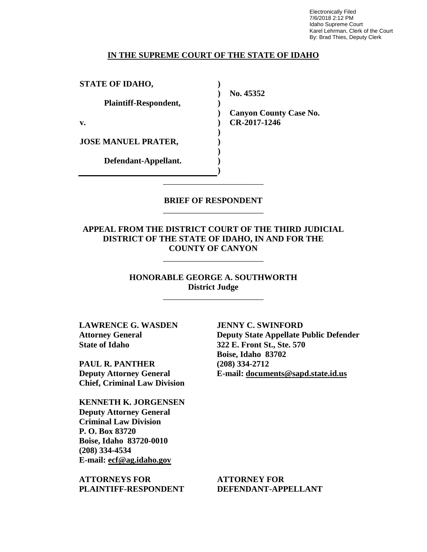Electronically Filed 7/6/2018 2:12 PM Idaho Supreme Court Karel Lehrman, Clerk of the Court By: Brad Thies, Deputy Clerk

#### **IN THE SUPREME COURT OF THE STATE OF IDAHO**

**) ) ) ) ) ) ) ) ) )**

**STATE OF IDAHO,**

**Plaintiff-Respondent,**

**v.** 

**JOSE MANUEL PRATER,** 

**Defendant-Appellant.**

**No. 45352** 

**Canyon County Case No. CR-2017-1246** 

## **BRIEF OF RESPONDENT** \_\_\_\_\_\_\_\_\_\_\_\_\_\_\_\_\_\_\_\_\_\_\_\_

\_\_\_\_\_\_\_\_\_\_\_\_\_\_\_\_\_\_\_\_\_\_\_\_

**APPEAL FROM THE DISTRICT COURT OF THE THIRD JUDICIAL DISTRICT OF THE STATE OF IDAHO, IN AND FOR THE COUNTY OF CANYON**

\_\_\_\_\_\_\_\_\_\_\_\_\_\_\_\_\_\_\_\_\_\_\_\_

**HONORABLE GEORGE A. SOUTHWORTH District Judge**

\_\_\_\_\_\_\_\_\_\_\_\_\_\_\_\_\_\_\_\_\_\_\_\_

**LAWRENCE G. WASDEN Attorney General State of Idaho**

**PAUL R. PANTHER Deputy Attorney General Chief, Criminal Law Division**

**KENNETH K. JORGENSEN Deputy Attorney General Criminal Law Division P. O. Box 83720 Boise, Idaho 83720-0010 (208) 334-4534 E-mail: ecf@ag.idaho.gov** 

**ATTORNEYS FOR PLAINTIFF-RESPONDENT** **JENNY C. SWINFORD Deputy State Appellate Public Defender 322 E. Front St., Ste. 570 Boise, Idaho 83702 (208) 334-2712 E-mail: documents@sapd.state.id.us** 

**ATTORNEY FOR DEFENDANT-APPELLANT**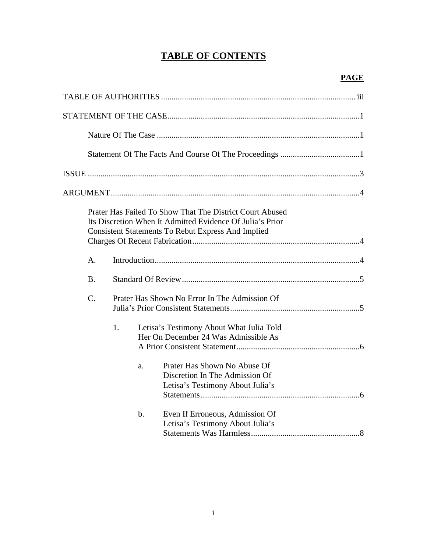# **TABLE OF CONTENTS**

|             |                                               | Prater Has Failed To Show That The District Court Abused<br>Its Discretion When It Admitted Evidence Of Julia's Prior<br><b>Consistent Statements To Rebut Express And Implied</b>     |  |
|-------------|-----------------------------------------------|----------------------------------------------------------------------------------------------------------------------------------------------------------------------------------------|--|
| A.          |                                               |                                                                                                                                                                                        |  |
| <b>B.</b>   |                                               |                                                                                                                                                                                        |  |
| $C_{\cdot}$ | Prater Has Shown No Error In The Admission Of |                                                                                                                                                                                        |  |
|             | 1.<br>a.                                      | Letisa's Testimony About What Julia Told<br>Her On December 24 Was Admissible As<br>Prater Has Shown No Abuse Of<br>Discretion In The Admission Of<br>Letisa's Testimony About Julia's |  |
|             | $b$ .                                         | Even If Erroneous, Admission Of<br>Letisa's Testimony About Julia's                                                                                                                    |  |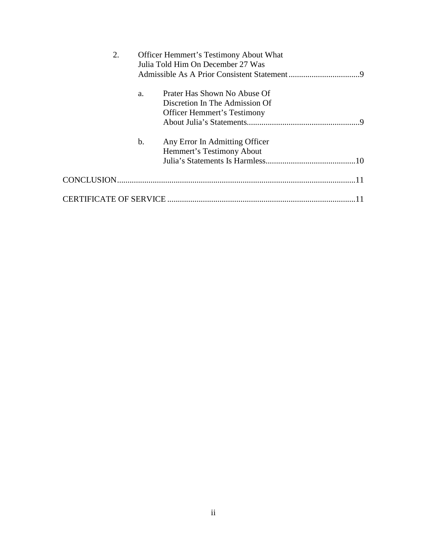| 2. |               | <b>Officer Hemmert's Testimony About What</b> |  |  |
|----|---------------|-----------------------------------------------|--|--|
|    |               | Julia Told Him On December 27 Was             |  |  |
|    |               |                                               |  |  |
|    | a.            | Prater Has Shown No Abuse Of                  |  |  |
|    |               | Discretion In The Admission Of                |  |  |
|    |               | <b>Officer Hemmert's Testimony</b>            |  |  |
|    |               | -9                                            |  |  |
|    | $\mathbf b$ . | Any Error In Admitting Officer                |  |  |
|    |               | Hemmert's Testimony About                     |  |  |
|    |               |                                               |  |  |
|    |               |                                               |  |  |
|    |               |                                               |  |  |
|    |               |                                               |  |  |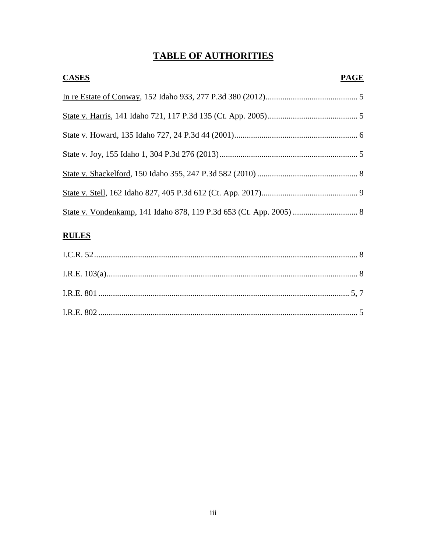# **TABLE OF AUTHORITIES**

| <b>CASES</b> | <b>PAGE</b> |
|--------------|-------------|
|              |             |
|              |             |
|              |             |
|              |             |
|              |             |
|              |             |
|              |             |

## **RULES**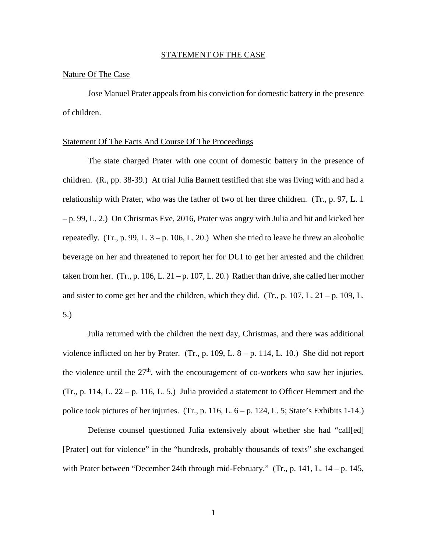#### STATEMENT OF THE CASE

#### Nature Of The Case

Jose Manuel Prater appeals from his conviction for domestic battery in the presence of children.

#### Statement Of The Facts And Course Of The Proceedings

The state charged Prater with one count of domestic battery in the presence of children. (R., pp. 38-39.) At trial Julia Barnett testified that she was living with and had a relationship with Prater, who was the father of two of her three children. (Tr., p. 97, L. 1 – p. 99, L. 2.) On Christmas Eve, 2016, Prater was angry with Julia and hit and kicked her repeatedly. (Tr., p. 99, L.  $3 - p$ . 106, L. 20.) When she tried to leave he threw an alcoholic beverage on her and threatened to report her for DUI to get her arrested and the children taken from her. (Tr., p. 106, L. 21 – p. 107, L. 20.) Rather than drive, she called her mother and sister to come get her and the children, which they did. (Tr., p. 107, L.  $21 - p$ . 109, L. 5.)

Julia returned with the children the next day, Christmas, and there was additional violence inflicted on her by Prater. (Tr., p. 109, L.  $8 - p$ . 114, L. 10.) She did not report the violence until the  $27<sup>th</sup>$ , with the encouragement of co-workers who saw her injuries. (Tr., p. 114, L. 22 – p. 116, L. 5.) Julia provided a statement to Officer Hemmert and the police took pictures of her injuries. (Tr., p. 116, L.  $6 - p$ . 124, L. 5; State's Exhibits 1-14.)

Defense counsel questioned Julia extensively about whether she had "call[ed] [Prater] out for violence" in the "hundreds, probably thousands of texts" she exchanged with Prater between "December 24th through mid-February." (Tr., p. 141, L. 14 – p. 145,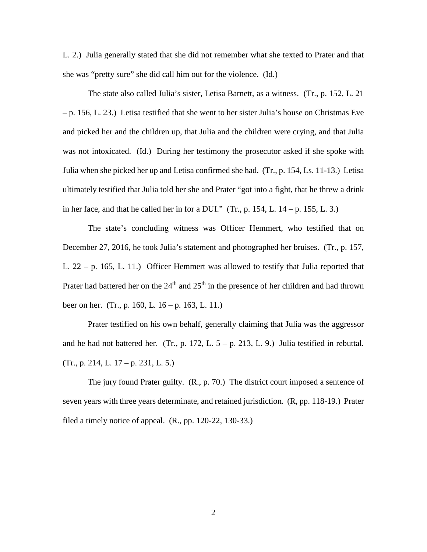L. 2.) Julia generally stated that she did not remember what she texted to Prater and that she was "pretty sure" she did call him out for the violence. (Id.)

The state also called Julia's sister, Letisa Barnett, as a witness. (Tr., p. 152, L. 21 – p. 156, L. 23.) Letisa testified that she went to her sister Julia's house on Christmas Eve and picked her and the children up, that Julia and the children were crying, and that Julia was not intoxicated. (Id.) During her testimony the prosecutor asked if she spoke with Julia when she picked her up and Letisa confirmed she had. (Tr., p. 154, Ls. 11-13.) Letisa ultimately testified that Julia told her she and Prater "got into a fight, that he threw a drink in her face, and that he called her in for a DUI."  $(Tr, p. 154, L. 14 - p. 155, L. 3.)$ 

The state's concluding witness was Officer Hemmert, who testified that on December 27, 2016, he took Julia's statement and photographed her bruises. (Tr., p. 157, L. 22 – p. 165, L. 11.) Officer Hemmert was allowed to testify that Julia reported that Prater had battered her on the  $24<sup>th</sup>$  and  $25<sup>th</sup>$  in the presence of her children and had thrown beer on her. (Tr., p. 160, L. 16 – p. 163, L. 11.)

Prater testified on his own behalf, generally claiming that Julia was the aggressor and he had not battered her. (Tr., p. 172, L.  $5 - p$ . 213, L. 9.) Julia testified in rebuttal. (Tr., p. 214, L. 17 – p. 231, L. 5.)

The jury found Prater guilty. (R., p. 70.) The district court imposed a sentence of seven years with three years determinate, and retained jurisdiction. (R, pp. 118-19.) Prater filed a timely notice of appeal. (R., pp. 120-22, 130-33.)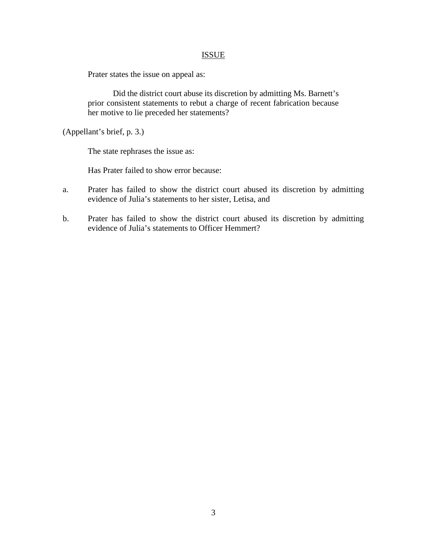## **ISSUE**

Prater states the issue on appeal as:

Did the district court abuse its discretion by admitting Ms. Barnett's prior consistent statements to rebut a charge of recent fabrication because her motive to lie preceded her statements?

(Appellant's brief, p. 3.)

The state rephrases the issue as:

Has Prater failed to show error because:

- a. Prater has failed to show the district court abused its discretion by admitting evidence of Julia's statements to her sister, Letisa, and
- b. Prater has failed to show the district court abused its discretion by admitting evidence of Julia's statements to Officer Hemmert?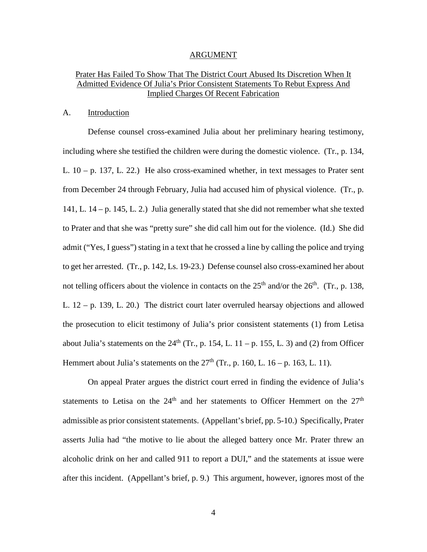#### ARGUMENT

## Prater Has Failed To Show That The District Court Abused Its Discretion When It Admitted Evidence Of Julia's Prior Consistent Statements To Rebut Express And Implied Charges Of Recent Fabrication

#### A. Introduction

 Defense counsel cross-examined Julia about her preliminary hearing testimony, including where she testified the children were during the domestic violence. (Tr., p. 134, L.  $10 - p$ . 137, L. 22.) He also cross-examined whether, in text messages to Prater sent from December 24 through February, Julia had accused him of physical violence. (Tr., p. 141, L. 14 – p. 145, L. 2.) Julia generally stated that she did not remember what she texted to Prater and that she was "pretty sure" she did call him out for the violence. (Id.) She did admit ("Yes, I guess") stating in a text that he crossed a line by calling the police and trying to get her arrested. (Tr., p. 142, Ls. 19-23.) Defense counsel also cross-examined her about not telling officers about the violence in contacts on the  $25<sup>th</sup>$  and/or the  $26<sup>th</sup>$ . (Tr., p. 138, L. 12 – p. 139, L. 20.) The district court later overruled hearsay objections and allowed the prosecution to elicit testimony of Julia's prior consistent statements (1) from Letisa about Julia's statements on the  $24<sup>th</sup>$  (Tr., p. 154, L. 11 – p. 155, L. 3) and (2) from Officer Hemmert about Julia's statements on the  $27<sup>th</sup>$  (Tr., p. 160, L. 16 – p. 163, L. 11).

On appeal Prater argues the district court erred in finding the evidence of Julia's statements to Letisa on the  $24<sup>th</sup>$  and her statements to Officer Hemmert on the  $27<sup>th</sup>$ admissible as prior consistent statements. (Appellant's brief, pp. 5-10.) Specifically, Prater asserts Julia had "the motive to lie about the alleged battery once Mr. Prater threw an alcoholic drink on her and called 911 to report a DUI," and the statements at issue were after this incident. (Appellant's brief, p. 9.) This argument, however, ignores most of the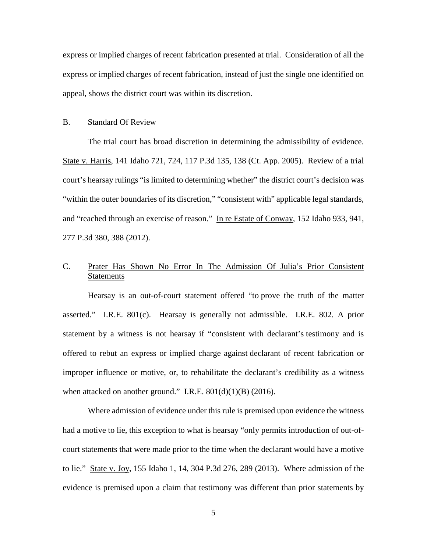express or implied charges of recent fabrication presented at trial. Consideration of all the express or implied charges of recent fabrication, instead of just the single one identified on appeal, shows the district court was within its discretion.

#### B. Standard Of Review

The trial court has broad discretion in determining the admissibility of evidence. State v. Harris, 141 Idaho 721, 724, 117 P.3d 135, 138 (Ct. App. 2005). Review of a trial court's hearsay rulings "is limited to determining whether" the district court's decision was "within the outer boundaries of its discretion," "consistent with" applicable legal standards, and "reached through an exercise of reason." In re Estate of Conway, 152 Idaho 933, 941, 277 P.3d 380, 388 (2012).

## C. Prater Has Shown No Error In The Admission Of Julia's Prior Consistent Statements

Hearsay is an out-of-court statement offered "to prove the truth of the matter asserted." I.R.E. 801(c). Hearsay is generally not admissible. I.R.E. 802. A prior statement by a witness is not hearsay if "consistent with declarant's testimony and is offered to rebut an express or implied charge against declarant of recent fabrication or improper influence or motive, or, to rehabilitate the declarant's credibility as a witness when attacked on another ground." I.R.E.  $801(d)(1)(B)$  (2016).

Where admission of evidence under this rule is premised upon evidence the witness had a motive to lie, this exception to what is hearsay "only permits introduction of out-ofcourt statements that were made prior to the time when the declarant would have a motive to lie." State v. Joy, 155 Idaho 1, 14, 304 P.3d 276, 289 (2013). Where admission of the evidence is premised upon a claim that testimony was different than prior statements by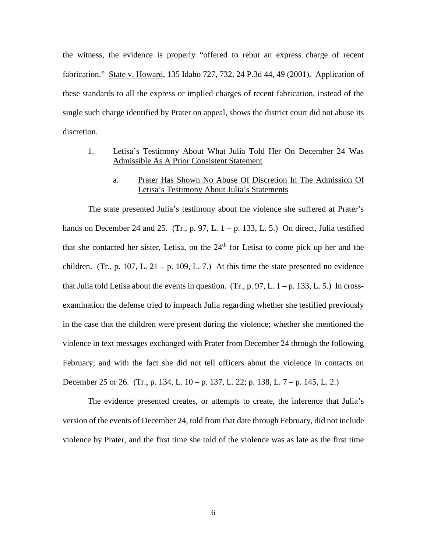the witness, the evidence is properly "offered to rebut an express charge of recent fabrication." State v. Howard, 135 Idaho 727, 732, 24 P.3d 44, 49 (2001). Application of these standards to all the express or implied charges of recent fabrication, instead of the single such charge identified by Prater on appeal, shows the district court did not abuse its discretion.

## 1. Letisa's Testimony About What Julia Told Her On December 24 Was Admissible As A Prior Consistent Statement

#### a. Prater Has Shown No Abuse Of Discretion In The Admission Of Letisa's Testimony About Julia's Statements

The state presented Julia's testimony about the violence she suffered at Prater's hands on December 24 and 25. (Tr., p. 97, L.  $1 - p$ . 133, L. 5.) On direct, Julia testified that she contacted her sister, Letisa, on the  $24<sup>th</sup>$  for Letisa to come pick up her and the children. (Tr., p. 107, L. 21 – p. 109, L. 7.) At this time the state presented no evidence that Julia told Letisa about the events in question. (Tr., p. 97, L.  $1 - p$ . 133, L. 5.) In crossexamination the defense tried to impeach Julia regarding whether she testified previously in the case that the children were present during the violence; whether she mentioned the violence in text messages exchanged with Prater from December 24 through the following February; and with the fact she did not tell officers about the violence in contacts on December 25 or 26. (Tr., p. 134, L. 10 – p. 137, L. 22; p. 138, L. 7 – p. 145, L. 2.)

The evidence presented creates, or attempts to create, the inference that Julia's version of the events of December 24, told from that date through February, did not include violence by Prater, and the first time she told of the violence was as late as the first time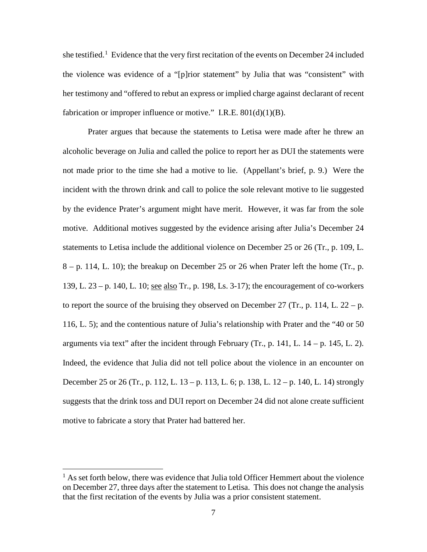she testified.<sup>[1](#page--1-0)</sup> Evidence that the very first recitation of the events on December 24 included the violence was evidence of a "[p]rior statement" by Julia that was "consistent" with her testimony and "offered to rebut an express or implied charge against declarant of recent fabrication or improper influence or motive." I.R.E.  $801(d)(1)(B)$ .

Prater argues that because the statements to Letisa were made after he threw an alcoholic beverage on Julia and called the police to report her as DUI the statements were not made prior to the time she had a motive to lie. (Appellant's brief, p. 9.) Were the incident with the thrown drink and call to police the sole relevant motive to lie suggested by the evidence Prater's argument might have merit. However, it was far from the sole motive. Additional motives suggested by the evidence arising after Julia's December 24 statements to Letisa include the additional violence on December 25 or 26 (Tr., p. 109, L.  $8 - p$ . 114, L. 10); the breakup on December 25 or 26 when Prater left the home (Tr., p. 139, L. 23 – p. 140, L. 10; see also Tr., p. 198, Ls. 3-17); the encouragement of co-workers to report the source of the bruising they observed on December 27 (Tr., p. 114, L.  $22 - p$ . 116, L. 5); and the contentious nature of Julia's relationship with Prater and the "40 or 50 arguments via text" after the incident through February (Tr., p. 141, L.  $14 - p$ . 145, L. 2). Indeed, the evidence that Julia did not tell police about the violence in an encounter on December 25 or 26 (Tr., p. 112, L. 13 – p. 113, L. 6; p. 138, L. 12 – p. 140, L. 14) strongly suggests that the drink toss and DUI report on December 24 did not alone create sufficient motive to fabricate a story that Prater had battered her.

 $\overline{a}$ 

 $<sup>1</sup>$  As set forth below, there was evidence that Julia told Officer Hemmert about the violence</sup> on December 27, three days after the statement to Letisa. This does not change the analysis that the first recitation of the events by Julia was a prior consistent statement.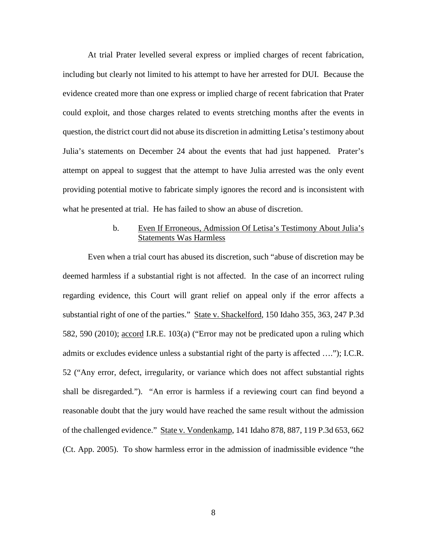At trial Prater levelled several express or implied charges of recent fabrication, including but clearly not limited to his attempt to have her arrested for DUI. Because the evidence created more than one express or implied charge of recent fabrication that Prater could exploit, and those charges related to events stretching months after the events in question, the district court did not abuse its discretion in admitting Letisa's testimony about Julia's statements on December 24 about the events that had just happened. Prater's attempt on appeal to suggest that the attempt to have Julia arrested was the only event providing potential motive to fabricate simply ignores the record and is inconsistent with what he presented at trial. He has failed to show an abuse of discretion.

## b. Even If Erroneous, Admission Of Letisa's Testimony About Julia's Statements Was Harmless

Even when a trial court has abused its discretion, such "abuse of discretion may be deemed harmless if a substantial right is not affected. In the case of an incorrect ruling regarding evidence, this Court will grant relief on appeal only if the error affects a substantial right of one of the parties." State v. Shackelford, 150 Idaho 355, 363, 247 P.3d 582, 590 (2010); accord I.R.E. 103(a) ("Error may not be predicated upon a ruling which admits or excludes evidence unless a substantial right of the party is affected …."); I.C.R. 52 ("Any error, defect, irregularity, or variance which does not affect substantial rights shall be disregarded."). "An error is harmless if a reviewing court can find beyond a reasonable doubt that the jury would have reached the same result without the admission of the challenged evidence." State v. Vondenkamp, 141 Idaho 878, 887, 119 P.3d 653, 662 (Ct. App. 2005). To show harmless error in the admission of inadmissible evidence "the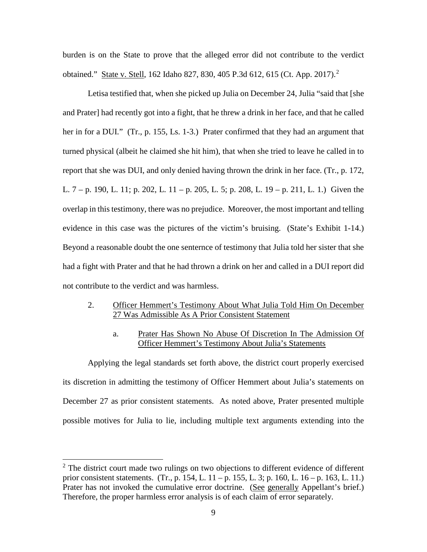burden is on the State to prove that the alleged error did not contribute to the verdict obtained." State v. Stell, 162 Idaho 827, 830, 405 P.3d 612, 615 (Ct. App. 2017).[2](#page--1-1)

Letisa testified that, when she picked up Julia on December 24, Julia "said that [she and Prater] had recently got into a fight, that he threw a drink in her face, and that he called her in for a DUI." (Tr., p. 155, Ls. 1-3.) Prater confirmed that they had an argument that turned physical (albeit he claimed she hit him), that when she tried to leave he called in to report that she was DUI, and only denied having thrown the drink in her face. (Tr., p. 172, L. 7 – p. 190, L. 11; p. 202, L. 11 – p. 205, L. 5; p. 208, L. 19 – p. 211, L. 1.) Given the overlap in this testimony, there was no prejudice. Moreover, the most important and telling evidence in this case was the pictures of the victim's bruising. (State's Exhibit 1-14.) Beyond a reasonable doubt the one senternce of testimony that Julia told her sister that she had a fight with Prater and that he had thrown a drink on her and called in a DUI report did not contribute to the verdict and was harmless.

### 2. Officer Hemmert's Testimony About What Julia Told Him On December 27 Was Admissible As A Prior Consistent Statement

a. Prater Has Shown No Abuse Of Discretion In The Admission Of Officer Hemmert's Testimony About Julia's Statements

Applying the legal standards set forth above, the district court properly exercised its discretion in admitting the testimony of Officer Hemmert about Julia's statements on December 27 as prior consistent statements. As noted above, Prater presented multiple possible motives for Julia to lie, including multiple text arguments extending into the

 $\overline{a}$ 

 $2^2$  The district court made two rulings on two objections to different evidence of different prior consistent statements. (Tr., p. 154, L. 11 – p. 155, L. 3; p. 160, L. 16 – p. 163, L. 11.) Prater has not invoked the cumulative error doctrine. (See generally Appellant's brief.) Therefore, the proper harmless error analysis is of each claim of error separately.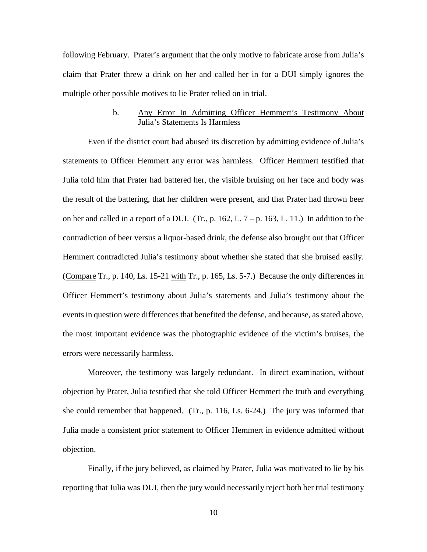following February. Prater's argument that the only motive to fabricate arose from Julia's claim that Prater threw a drink on her and called her in for a DUI simply ignores the multiple other possible motives to lie Prater relied on in trial.

## b. Any Error In Admitting Officer Hemmert's Testimony About Julia's Statements Is Harmless

Even if the district court had abused its discretion by admitting evidence of Julia's statements to Officer Hemmert any error was harmless. Officer Hemmert testified that Julia told him that Prater had battered her, the visible bruising on her face and body was the result of the battering, that her children were present, and that Prater had thrown beer on her and called in a report of a DUI. (Tr., p. 162, L.  $7 - p$ . 163, L. 11.) In addition to the contradiction of beer versus a liquor-based drink, the defense also brought out that Officer Hemmert contradicted Julia's testimony about whether she stated that she bruised easily. (Compare Tr., p. 140, Ls. 15-21 with Tr., p. 165, Ls. 5-7.) Because the only differences in Officer Hemmert's testimony about Julia's statements and Julia's testimony about the events in question were differences that benefited the defense, and because, as stated above, the most important evidence was the photographic evidence of the victim's bruises, the errors were necessarily harmless.

Moreover, the testimony was largely redundant. In direct examination, without objection by Prater, Julia testified that she told Officer Hemmert the truth and everything she could remember that happened. (Tr., p. 116, Ls. 6-24.) The jury was informed that Julia made a consistent prior statement to Officer Hemmert in evidence admitted without objection.

Finally, if the jury believed, as claimed by Prater, Julia was motivated to lie by his reporting that Julia was DUI, then the jury would necessarily reject both her trial testimony